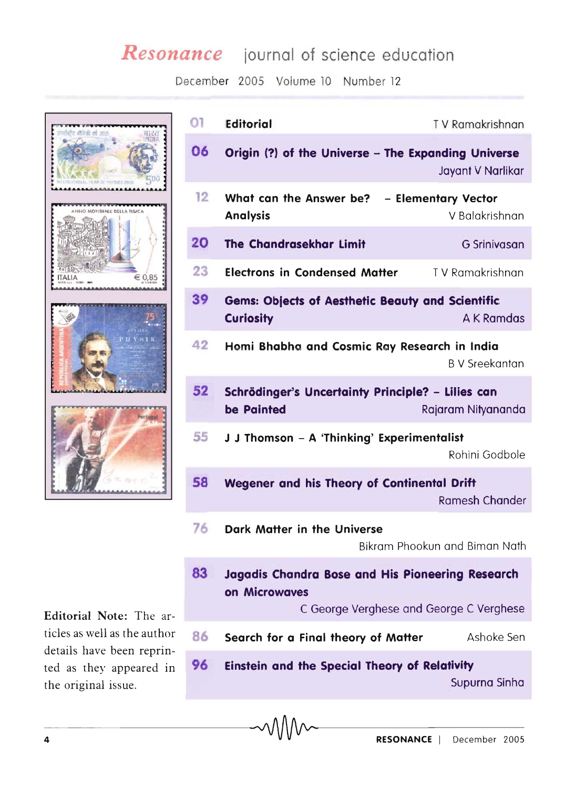## *Resonance* journal of science education

December 2005 Volume 10 Number 12



Editorial Note: The articles as well as the author details have been reprinted as they appeared in the original issue.

| $\overline{0}$ | <b>Editorial</b>                                                                                             | TV Ramakrishnan                       |
|----------------|--------------------------------------------------------------------------------------------------------------|---------------------------------------|
| 06             | Origin (?) of the Universe - The Expanding Universe                                                          | Jayant V Narlikar                     |
| 12             | What can the Answer be?<br><b>Analysis</b>                                                                   | - Elementary Vector<br>V Balakrishnan |
| 20             | <b>The Chandrasekhar Limit</b>                                                                               | <b>G</b> Srinivasan                   |
| 23             | <b>Electrons in Condensed Matter</b>                                                                         | TV Ramakrishnan                       |
| 39             | <b>Gems: Objects of Aesthetic Beauty and Scientific</b><br><b>Curiosity</b>                                  | <b>AK Ramdas</b>                      |
| 42             | Homi Bhabha and Cosmic Ray Research in India                                                                 | <b>BV</b> Sreekantan                  |
| 52             | Schrödinger's Uncertainty Principle? - Lilies can<br>be Painted                                              | Rajaram Nityananda                    |
| 55             | J J Thomson - A 'Thinking' Experimentalist                                                                   | Rohini Godbole                        |
| 58             | Wegener and his Theory of Continental Drift                                                                  | <b>Ramesh Chander</b>                 |
| 76             | <b>Dark Matter in the Universe</b>                                                                           | Bikram Phookun and Biman Nath         |
| 83             | Jagadis Chandra Bose and His Pioneering Research<br>on Microwaves<br>C George Verghese and George C Verghese |                                       |
| 86             | Search for a Final theory of Matter                                                                          | Ashoke Sen                            |
| 96             | <b>Einstein and the Special Theory of Relativity</b>                                                         | Supurna Sinha                         |